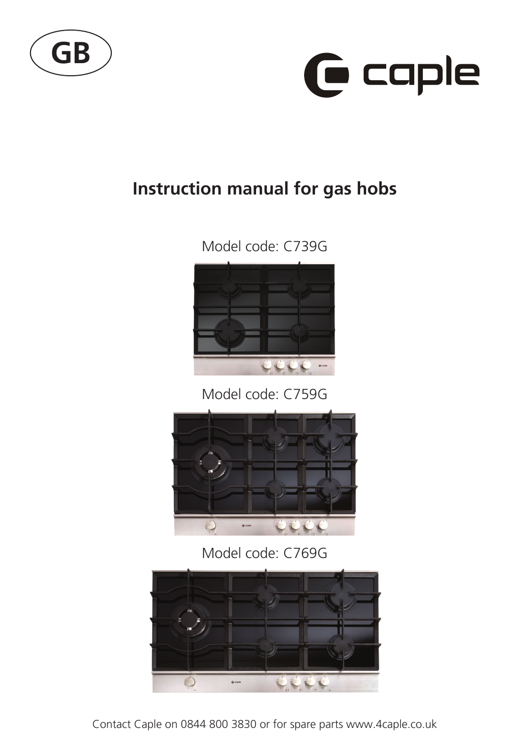



### **Instruction manual for gas hobs**





Model code: C759G



Model code: C769G

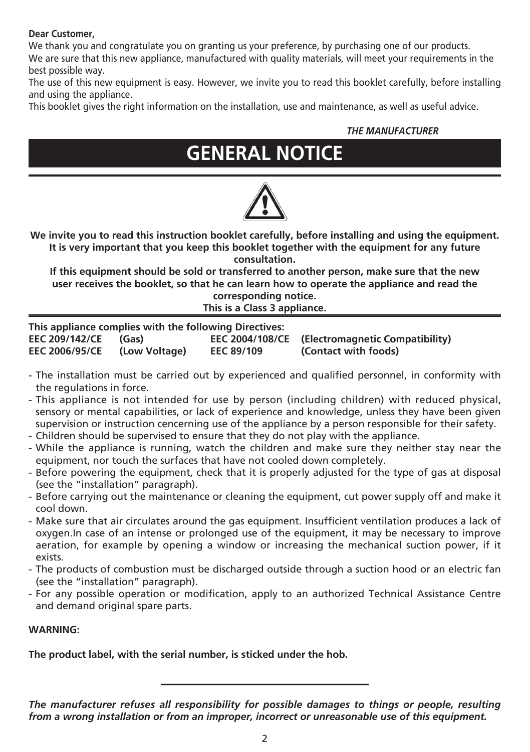#### **Dear Customer,**

We thank you and congratulate you on granting us your preference, by purchasing one of our products. We are sure that this new appliance, manufactured with quality materials, will meet your requirements in the best possible way.

The use of this new equipment is easy. However, we invite you to read this booklet carefully, before installing and using the appliance.

This booklet gives the right information on the installation, use and maintenance, as well as useful advice.

#### *THE MANUFACTURER*

# **GENERAL NOTICE**



**We invite you to read this instruction booklet carefully, before installing and using the equipment. It is very important that you keep this booklet together with the equipment for any future consultation.**

**If this equipment should be sold or transferred to another person, make sure that the new user receives the booklet, so that he can learn how to operate the appliance and read the corresponding notice.**

**This is a Class 3 appliance.**

| This appliance complies with the following Directives: |               |                   |                                                 |  |  |  |
|--------------------------------------------------------|---------------|-------------------|-------------------------------------------------|--|--|--|
| <b>EEC 209/142/CE</b>                                  | (Gas)         |                   | EEC 2004/108/CE (Electromagnetic Compatibility) |  |  |  |
| <b>EEC 2006/95/CE</b>                                  | (Low Voltage) | <b>EEC 89/109</b> | (Contact with foods)                            |  |  |  |

- The installation must be carried out by experienced and qualified personnel, in conformity with the regulations in force.
- This appliance is not intended for use by person (including children) with reduced physical, sensory or mental capabilities, or lack of experience and knowledge, unless they have been given supervision or instruction cencerning use of the appliance by a person responsible for their safety.
- Children should be supervised to ensure that they do not play with the appliance.
- While the appliance is running, watch the children and make sure they neither stay near the equipment, nor touch the surfaces that have not cooled down completely.
- Before powering the equipment, check that it is properly adjusted for the type of gas at disposal (see the "installation" paragraph).
- Before carrying out the maintenance or cleaning the equipment, cut power supply off and make it cool down.
- Make sure that air circulates around the gas equipment. Insufficient ventilation produces a lack of oxygen.In case of an intense or prolonged use of the equipment, it may be necessary to improve aeration, for example by opening a window or increasing the mechanical suction power, if it exists.
- The products of combustion must be discharged outside through a suction hood or an electric fan (see the "installation" paragraph).
- For any possible operation or modification, apply to an authorized Technical Assistance Centre and demand original spare parts.

#### **WARNING:**

**The product label, with the serial number, is sticked under the hob.**

*The manufacturer refuses all responsibility for possible damages to things or people, resulting from a wrong installation or from an improper, incorrect or unreasonable use of this equipment.*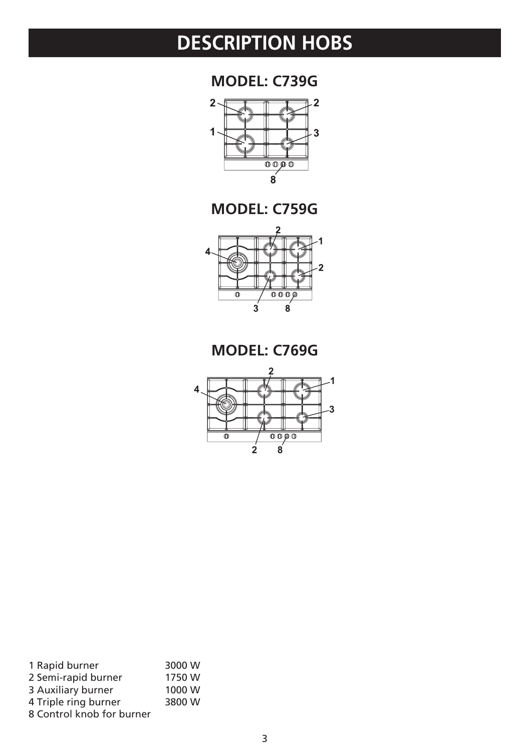## **DESCRIPTION HOBS**

**MODEL: C739G**



**MODEL: C759G**



**MODEL: C769G**



| 1 Rapid burner            | 3000 W |
|---------------------------|--------|
| 2 Semi-rapid burner       | 1750 W |
| 3 Auxiliary burner        | 1000 W |
| 4 Triple ring burner      | 3800 W |
| 8 Control knob for burner |        |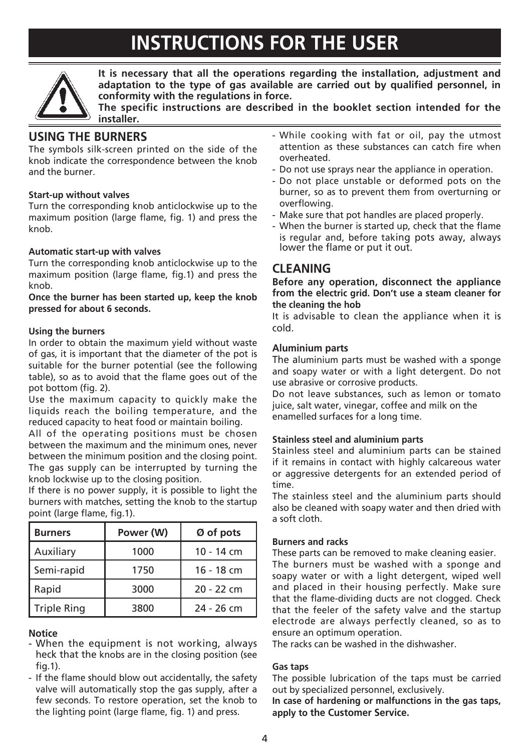## **INSTRUCTIONS FOR THE USER**



**It is necessary that all the operations regarding the installation, adjustment and adaptation to the type of gas available are carried out by qualified personnel, in conformity with the regulations in force.**

**The specific instructions are described in the booklet section intended for the installer.**

### **USING THE BURNERS**

The symbols silk-screen printed on the side of the knob indicate the correspondence between the knob and the burner.

#### **Start-up without valves**

Turn the corresponding knob anticlockwise up to the maximum position (large flame, fig. 1) and press the knob.

#### **Automatic start-up with valves**

Turn the corresponding knob anticlockwise up to the maximum position (large flame, fig.1) and press the knob.

#### **Once the burner has been started up, keep the knob pressed for about 6 seconds.**

#### **Using the burners**

In order to obtain the maximum yield without waste of gas, it is important that the diameter of the pot is suitable for the burner potential (see the following table), so as to avoid that the flame goes out of the pot bottom (fig. 2).

Use the maximum capacity to quickly make the liquids reach the boiling temperature, and the reduced capacity to heat food or maintain boiling.

All of the operating positions must be chosen between the maximum and the minimum ones, never between the minimum position and the closing point. The gas supply can be interrupted by turning the knob lockwise up to the closing position.

If there is no power supply, it is possible to light the burners with matches, setting the knob to the startup point (large flame, fig.1).

| <b>Burners</b>     | Power (W) | Ø of pots    |  |  |
|--------------------|-----------|--------------|--|--|
| Auxiliary          | 1000      | 10 - 14 cm   |  |  |
| Semi-rapid         | 1750      | 16 - 18 cm   |  |  |
| Rapid              | 3000      | $20 - 22$ cm |  |  |
| <b>Triple Ring</b> | 3800      | 24 - 26 cm   |  |  |

#### **Notice**

- When the equipment is not working, always heck that the knobs are in the closing position (see fig.1).
- If the flame should blow out accidentally, the safety valve will automatically stop the gas supply, after a few seconds. To restore operation, set the knob to the lighting point (large flame, fig. 1) and press.
- While cooking with fat or oil, pay the utmost attention as these substances can catch fire when overheated.
- Do not use sprays near the appliance in operation.
- Do not place unstable or deformed pots on the burner, so as to prevent them from overturning or overflowing.
- Make sure that pot handles are placed properly.
- When the burner is started up, check that the flame is regular and, before taking pots away, always lower the flame or put it out.

### **CLEANING**

#### **Before any operation, disconnect the appliance from the electric grid. Don't use a steam cleaner for the cleaning the hob**

It is advisable to clean the appliance when it is cold.

#### **Aluminium parts**

The aluminium parts must be washed with a sponge and soapy water or with a light detergent. Do not use abrasive or corrosive products.

Do not leave substances, such as lemon or tomato juice, salt water, vinegar, coffee and milk on the enamelled surfaces for a long time.

#### **Stainless steel and aluminium parts**

Stainless steel and aluminium parts can be stained if it remains in contact with highly calcareous water or aggressive detergents for an extended period of time.

The stainless steel and the aluminium parts should also be cleaned with soapy water and then dried with a soft cloth.

#### **Burners and racks**

These parts can be removed to make cleaning easier. The burners must be washed with a sponge and soapy water or with a light detergent, wiped well and placed in their housing perfectly. Make sure that the flame-dividing ducts are not clogged. Check that the feeler of the safety valve and the startup electrode are always perfectly cleaned, so as to ensure an optimum operation.

The racks can be washed in the dishwasher.

#### **Gas taps**

The possible lubrication of the taps must be carried out by specialized personnel, exclusively.

**In case of hardening or malfunctions in the gas taps, apply to the Customer Service.**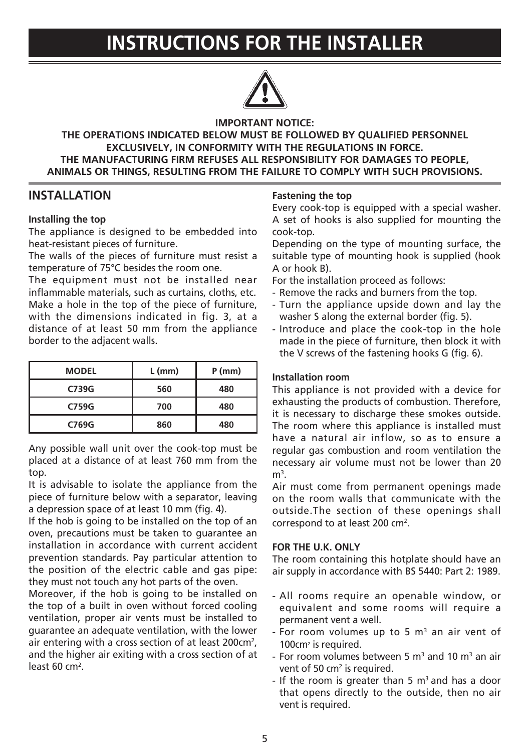## **INSTRUCTIONS FOR THE INSTALLER**



#### **IMPORTANT NOTICE:**

#### **THE OPERATIONS INDICATED BELOW MUST BE FOLLOWED BY QUALIFIED PERSONNEL EXCLUSIVELY, IN CONFORMITY WITH THE REGULATIONS IN FORCE. THE MANUFACTURING FIRM REFUSES ALL RESPONSIBILITY FOR DAMAGES TO PEOPLE, ANIMALS OR THINGS, RESULTING FROM THE FAILURE TO COMPLY WITH SUCH PROVISIONS.**

### **INSTALLATION**

#### **Installing the top**

The appliance is designed to be embedded into heat-resistant pieces of furniture.

The walls of the pieces of furniture must resist a temperature of 75°C besides the room one.

The equipment must not be installed near inflammable materials, such as curtains, cloths, etc. Make a hole in the top of the piece of furniture, with the dimensions indicated in fig. 3, at a distance of at least 50 mm from the appliance border to the adjacent walls.

| <b>MODEL</b> | $L$ (mm) | $P$ (mm) |  |
|--------------|----------|----------|--|
| C739G        | 560      | 480      |  |
| C759G        | 700      | 480      |  |
| C769G        | 860      | 480      |  |

Any possible wall unit over the cook-top must be placed at a distance of at least 760 mm from the top.

It is advisable to isolate the appliance from the piece of furniture below with a separator, leaving a depression space of at least 10 mm (fig. 4).

If the hob is going to be installed on the top of an oven, precautions must be taken to guarantee an installation in accordance with current accident prevention standards. Pay particular attention to the position of the electric cable and gas pipe: they must not touch any hot parts of the oven.

Moreover, if the hob is going to be installed on the top of a built in oven without forced cooling ventilation, proper air vents must be installed to guarantee an adequate ventilation, with the lower air entering with a cross section of at least 200cm<sup>2</sup>, and the higher air exiting with a cross section of at least 60 cm<sup>2</sup>.

#### **Fastening the top**

Every cook-top is equipped with a special washer. A set of hooks is also supplied for mounting the cook-top.

Depending on the type of mounting surface, the suitable type of mounting hook is supplied (hook A or hook B).

For the installation proceed as follows:

- Remove the racks and burners from the top.
- Turn the appliance upside down and lay the washer S along the external border (fig. 5).
- Introduce and place the cook-top in the hole made in the piece of furniture, then block it with the V screws of the fastening hooks G (fig. 6).

#### **Installation room**

This appliance is not provided with a device for exhausting the products of combustion. Therefore, it is necessary to discharge these smokes outside. The room where this appliance is installed must have a natural air inflow, so as to ensure a regular gas combustion and room ventilation the necessary air volume must not be lower than 20  $m<sup>3</sup>$ .

Air must come from permanent openings made on the room walls that communicate with the outside.The section of these openings shall correspond to at least 200  $cm<sup>2</sup>$ .

#### **FOR THE U.K. ONLY**

The room containing this hotplate should have an air supply in accordance with BS 5440: Part 2: 1989.

- All rooms require an openable window, or equivalent and some rooms will require a permanent vent a well.
- $-$  For room volumes up to 5 m<sup>3</sup> an air vent of 100cm<sup>2</sup> is required.
- For room volumes between 5  $\mathrm{m}^3$  and 10  $\mathrm{m}^3$  an air vent of 50  $cm<sup>2</sup>$  is required.
- If the room is greater than 5  $m<sup>3</sup>$  and has a door that opens directly to the outside, then no air vent is required.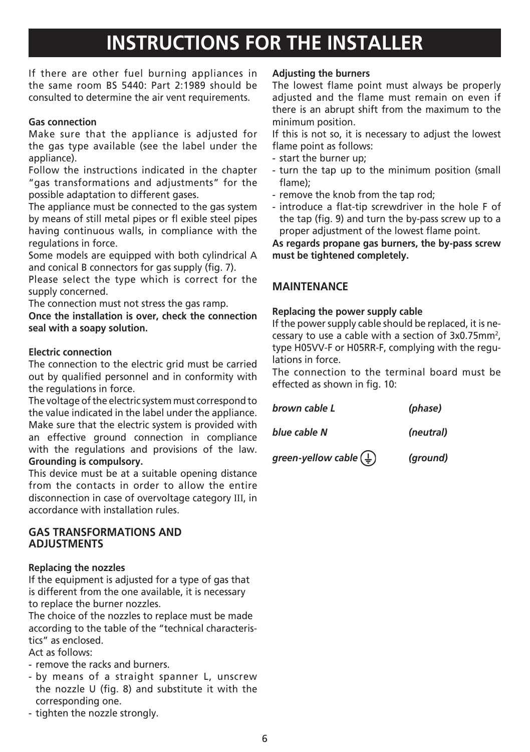## **INSTRUCTIONS FOR THE INSTALLER**

If there are other fuel burning appliances in the same room BS 5440: Part 2:1989 should be consulted to determine the air vent requirements.

#### **Gas connection**

Make sure that the appliance is adjusted for the gas type available (see the label under the appliance).

Follow the instructions indicated in the chapter "gas transformations and adjustments" for the possible adaptation to different gases.

The appliance must be connected to the gas system by means of still metal pipes or fl exible steel pipes having continuous walls, in compliance with the regulations in force.

Some models are equipped with both cylindrical A and conical B connectors for gas supply (fig. 7).

Please select the type which is correct for the supply concerned.

The connection must not stress the gas ramp.

**Once the installation is over, check the connection seal with a soapy solution.**

#### **Electric connection**

The connection to the electric grid must be carried out by qualified personnel and in conformity with the regulations in force.

The voltage of the electric system must correspond to the value indicated in the label under the appliance. Make sure that the electric system is provided with an effective ground connection in compliance with the regulations and provisions of the law. **Grounding is compulsory.**

This device must be at a suitable opening distance from the contacts in order to allow the entire disconnection in case of overvoltage category III, in accordance with installation rules.

#### **GAS TRANSFORMATIONS AND ADJUSTMENTS**

#### **Replacing the nozzles**

If the equipment is adjusted for a type of gas that is different from the one available, it is necessary to replace the burner nozzles.

The choice of the nozzles to replace must be made according to the table of the "technical characteristics" as enclosed.

Act as follows:

- remove the racks and burners.
- by means of a straight spanner L, unscrew the nozzle U (fig. 8) and substitute it with the corresponding one.
- tighten the nozzle strongly.

#### **Adjusting the burners**

The lowest flame point must always be properly adjusted and the flame must remain on even if there is an abrupt shift from the maximum to the minimum position.

If this is not so, it is necessary to adjust the lowest flame point as follows:

- start the burner up;
- turn the tap up to the minimum position (small flame);
- remove the knob from the tap rod;
- introduce a flat-tip screwdriver in the hole F of the tap (fig. 9) and turn the by-pass screw up to a proper adjustment of the lowest flame point.

**As regards propane gas burners, the by-pass screw must be tightened completely.**

### **MAINTENANCE**

#### **Replacing the power supply cable**

If the power supply cable should be replaced, it is necessary to use a cable with a section of  $3x0.75$ mm<sup>2</sup>, type H05VV-F or H05RR-F, complying with the regulations in force.

The connection to the terminal board must be effected as shown in fig. 10:

| brown cable L | (phase)   |
|---------------|-----------|
| blue cable N  | (neutral) |

*green-yellow cable (ground)*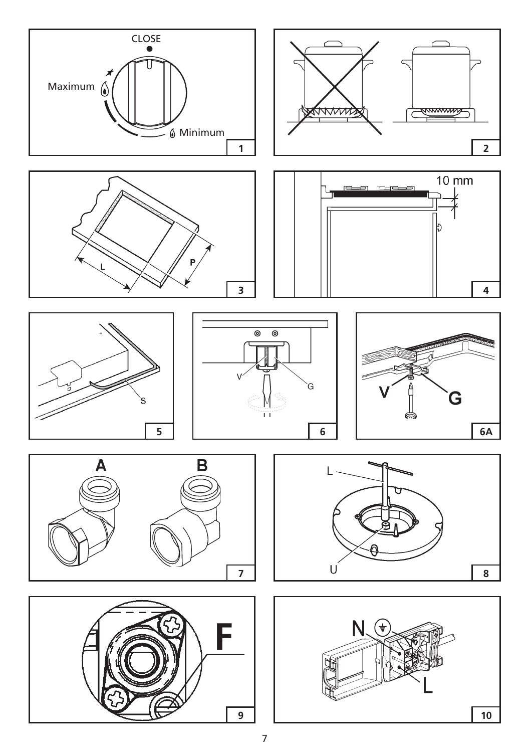